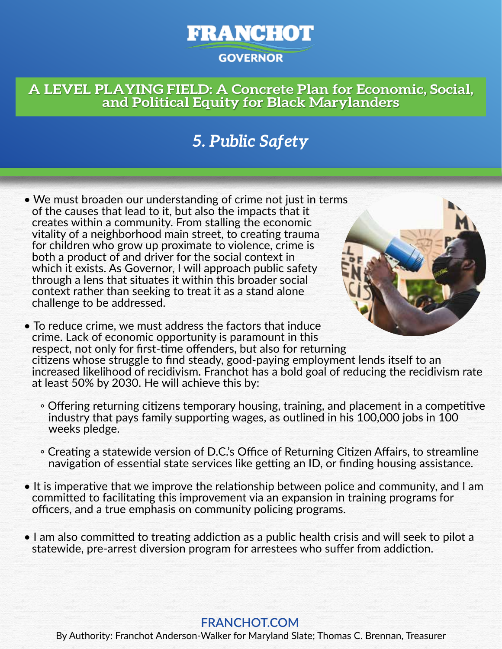# **FRANCHOT GOVERNOR**

### **A LEVEL PLAYING FIELD: A Concrete Plan for Economic, Social, and Political Equity for Black Marylanders**

# *5. Public Safety*

- We must broaden our understanding of crime not just in terms of the causes that lead to it, but also the impacts that it creates within a community. From stalling the economic vitality of a neighborhood main street, to creating trauma for children who grow up proximate to violence, crime is both a product of and driver for the social context in which it exists. As Governor, I will approach public safety through a lens that situates it within this broader social context rather than seeking to treat it as a stand alone challenge to be addressed.
- To reduce crime, we must address the factors that induce crime. Lack of economic opportunity is paramount in this respect, not only for first-time offenders, but also for returning citizens whose struggle to find steady, good-paying employment lends itself to an increased likelihood of recidivism. Franchot has a bold goal of reducing the recidivism rate at least 50% by 2030. He will achieve this by:
	- Offering returning citizens temporary housing, training, and placement in a competitive industry that pays family supporting wages, as outlined in his 100,000 jobs in 100 weeks pledge.
	- Creating a statewide version of D.C.'s Office of Returning Citizen Affairs, to streamline navigation of essential state services like getting an ID, or finding housing assistance.
- It is imperative that we improve the relationship between police and community, and I am committed to facilitating this improvement via an expansion in training programs for officers, and a true emphasis on community policing programs.
- I am also committed to treating addiction as a public health crisis and will seek to pilot a statewide, pre-arrest diversion program for arrestees who suffer from addiction.

#### **FRANCHOT.COM**

By Authority: Franchot Anderson-Walker for Maryland Slate; Thomas C. Brennan, Treasurer